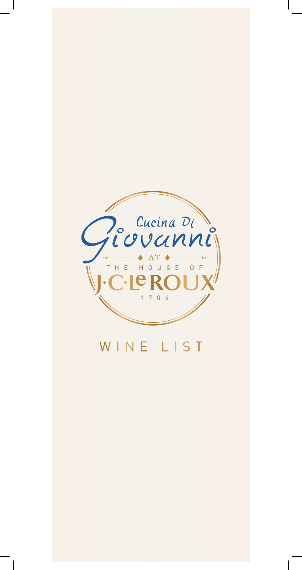

# WINE LIST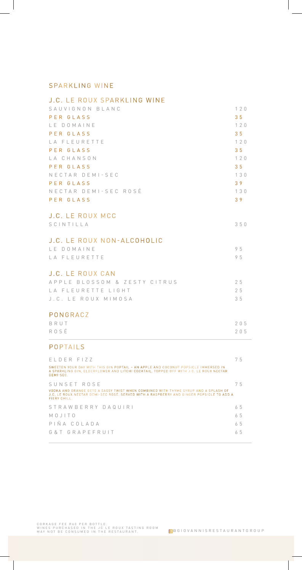#### SPARKLING WINE

| J.C. LE ROUX SPARKLING WINE  |                |
|------------------------------|----------------|
| SAUVIGNON BLANC              | 120            |
| PER GLASS                    | 35             |
| LE DOMAINE                   | 120            |
| PER GLASS                    | 3 <sub>5</sub> |
| LA FLEURETTE                 | 120            |
| PER GLASS                    | 35             |
| LA CHANSON                   | 120            |
| PER GLASS                    | 3 <sub>5</sub> |
| NECTAR DEMI-SEC              | 130            |
| PER GLASS                    | 39             |
| NECTAR DEMI-SEC ROSÉ         | 130            |
| PER GLASS                    | 39             |
|                              |                |
| <b>J.C. LE ROUX MCC</b>      |                |
| SCINTILLA                    | 350            |
|                              |                |
| J.C. LE ROUX NON-ALCOHOLIC   |                |
| LE DOMAINE                   | 95             |
| LA FLEURETTE                 | 95             |
|                              |                |
| J.C. LE ROUX CAN             |                |
| APPLE BLOSSOM & ZESTY CITRUS | 25             |
| LA FLEURETTE LIGHT           | 25             |
| J.C. LE ROUX MIMOSA          | 35             |
|                              |                |
| PONGRACZ                     |                |
| BRUT                         | 205            |
| ROSÉ                         | 205            |

### POPTAILS

| ELDER FIZZ                                                                                                                                                                                    | 75 |
|-----------------------------------------------------------------------------------------------------------------------------------------------------------------------------------------------|----|
| SWEETEN YOUR DAY WITH THIS GIN POPTAIL - AN APPLE AND COCONUT POPSICLE IMMERSED IN<br>A SPARKLING GIN. ELDERFLOWER AND LITCHI COCKTAIL. TOPPED OFF WITH J.C. LE ROUX NECTAR<br>DEMI-SEC.      |    |
| SUNSET ROSE                                                                                                                                                                                   | 75 |
| VODKA AND ORANGE GETS A SASSY TWIST WHEN COMBINED WITH THYME SYRUP AND A SPLASH OF<br>J.C. LE ROUX NECTAR DEMI-SEC ROSÉ. SERVED WITH A RASPBERRY AND GINGER POPSICLE TO ADD A<br>FIFRY CHILL. |    |
| STRAWBERRY DAQUIRI                                                                                                                                                                            | 65 |
| MOJITO                                                                                                                                                                                        | 65 |
| PIÑA COIADA                                                                                                                                                                                   | 65 |
| G & T G R A P F F R U I T                                                                                                                                                                     | 65 |
|                                                                                                                                                                                               |    |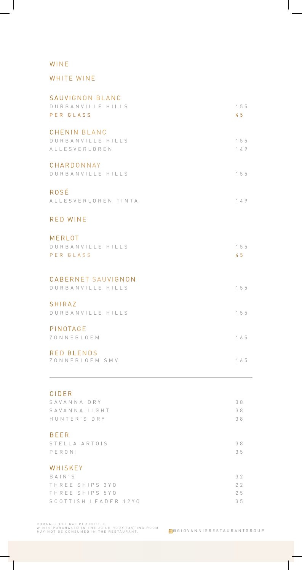## WINE

## WHITE WINE

| <b>CIDER</b>                                              |            |
|-----------------------------------------------------------|------------|
| <b>RED BLENDS</b><br>ZONNEBLOEM SMV                       | 165        |
| PINOTAGE<br>ZONNEBLOEM                                    | 165        |
| <b>SHIRAZ</b><br>DURBANVILLE HILLS                        | 155        |
| CABERNET SAUVIGNON<br>DURBANVILLE HILLS                   | 155        |
| MERLOT<br>DURBANVILLE HILLS<br>PER GLASS                  | 155<br>45  |
| <b>RED WINE</b>                                           |            |
| ROSÉ<br>ALLESVERLOREN TINTA                               | 149        |
| CHARDONNAY<br>DURBANVILLE HILLS                           | 155        |
| <b>CHENIN BLANC</b><br>DURBANVILLE HILLS<br>ALLESVERLOREN | 155<br>149 |
| SAUVIGNON BLANC<br>DURBANVILLE HILLS<br>PER GLASS         | 155<br>45  |

| SAVANNA DRY          | 38 |
|----------------------|----|
| SAVANNA LIGHT        | 38 |
| HUNTER'S DRY         | 38 |
|                      |    |
| <b>BEER</b>          |    |
| STELLA ARTOIS        | 38 |
| PERONI               | 35 |
|                      |    |
| WHISKEY              |    |
| BAIN'S               | 32 |
| THREE SHIPS 3YO      | 22 |
| THREE SHIPS 5YO      | 25 |
| SCOTTISH LEADER 12YO | 35 |

CORKAGE FEE R60 PER BOTTLE.<br>WINES PURCHASED IN THE JC LE ROUX TASTING ROOM<br>MAY NOT BE CONSUMED IN THE RESTAURANT.

T,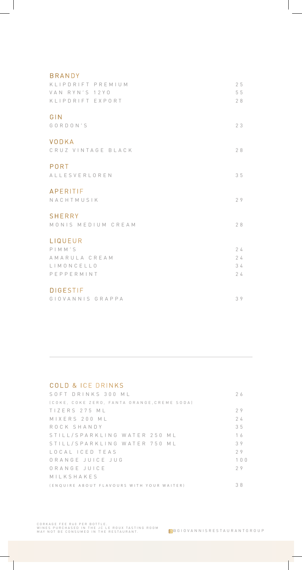| <b>BRANDY</b>                       |    |
|-------------------------------------|----|
| KLIPDRIFT PREMIUM                   | 25 |
| VAN RYN'S 12YO                      | 55 |
| KLIPDRIFT EXPORT                    | 28 |
| GIN                                 |    |
| GORDON'S                            | 23 |
|                                     |    |
| VODKA                               |    |
| CRUZ VINTAGE BLACK                  | 28 |
| PORT                                |    |
| ALLESVERLOREN                       | 35 |
|                                     |    |
| <b>APERITIF</b>                     |    |
| NACHTMUSIK                          | 29 |
|                                     |    |
| <b>SHERRY</b><br>MONIS MEDIUM CREAM | 28 |
|                                     |    |
| LIQUEUR                             |    |
| PIMM'S                              | 24 |
| AMARULA CREAM                       | 24 |
| LIMONCELLO                          | 34 |
| PEPPERMINT                          | 24 |
|                                     |    |
| <b>DIGESTIF</b>                     |    |
| GIOVANNIS GRAPPA                    | 39 |

## COLD & ICE DRINKS

| SOFT DRINKS 300 ML                          | 26        |
|---------------------------------------------|-----------|
| (COKE, COKE ZERO, FANTA ORANGE, CREME SODA) |           |
| TIZERS 275 ML                               | 29        |
| MIXERS 200 ML                               | 24        |
| ROCK SHANDY                                 | 35        |
| STILL/SPARKLING WATER 250 ML                | 16        |
| STILL/SPARKLING WATER 750 ML                | 39        |
| LOCAL ICED TEAS                             | 29        |
| ORANGE JUICE JUG                            | $10$ $01$ |
| ORANGE JUICE                                | 29        |
| MILKSHAKES                                  |           |
| (ENOUIRE ABOUT FLAVOURS WITH YOUR WAITER)   | 38        |